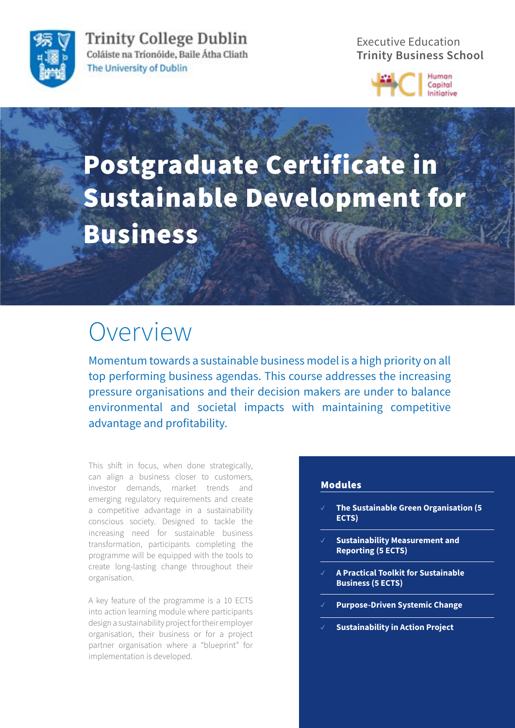

**Trinity College Dublin** Coláiste na Tríonóide, Baile Átha Cliath The University of Dublin

Executive Education **Trinity Business School**



# Postgraduate Certificate in Sustainable Development for **Business**

### Overview

Momentum towards a sustainable business model is a high priority on all top performing business agendas. This course addresses the increasing pressure organisations and their decision makers are under to balance environmental and societal impacts with maintaining competitive advantage and profitability.

This shift in focus, when done strategically, can align a business closer to customers, investor demands, market trends and emerging regulatory requirements and create a competitive advantage in a sustainability conscious society. Designed to tackle the increasing need for sustainable business transformation, participants completing the programme will be equipped with the tools to create long-lasting change throughout their organisation.

A key feature of the programme is a 10 ECTS into action learning module where participants design a sustainability project for their employer organisation, their business or for a project partner organisation where a "blueprint" for implementation is developed.

#### Modules

- ✓ **The Sustainable Green Organisation (5 ECTS)**
- ✓ **Sustainability Measurement and Reporting (5 ECTS)**
- ✓ **A Practical Toolkit for Sustainable Business (5 ECTS)**
- ✓ **Purpose-Driven Systemic Change**
- ✓ **Sustainability in Action Project**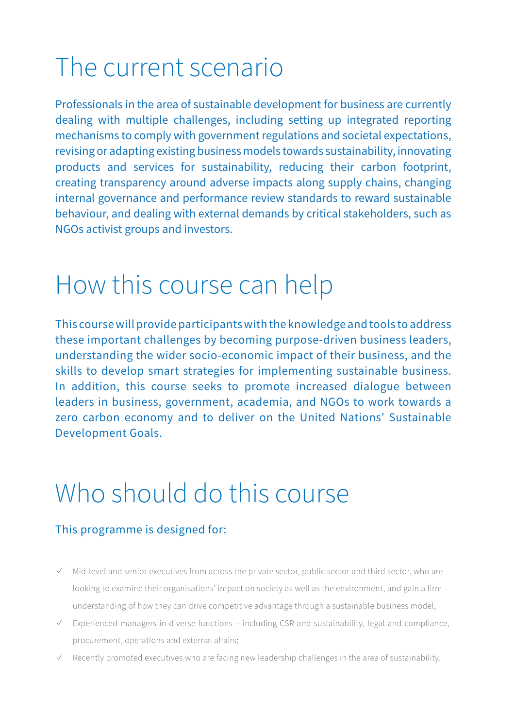# The current scenario

Professionals in the area of sustainable development for business are currently dealing with multiple challenges, including setting up integrated reporting mechanisms to comply with government regulations and societal expectations, revising or adapting existing business models towards sustainability, innovating products and services for sustainability, reducing their carbon footprint, creating transparency around adverse impacts along supply chains, changing internal governance and performance review standards to reward sustainable behaviour, and dealing with external demands by critical stakeholders, such as NGOs activist groups and investors.

### How this course can help

This course will provide participants with the knowledge and tools to address these important challenges by becoming purpose-driven business leaders, understanding the wider socio-economic impact of their business, and the skills to develop smart strategies for implementing sustainable business. In addition, this course seeks to promote increased dialogue between leaders in business, government, academia, and NGOs to work towards a zero carbon economy and to deliver on the United Nations' Sustainable Development Goals.

### Who should do this course

### This programme is designed for:

- ✓ Mid-level and senior executives from across the private sector, public sector and third sector, who are looking to examine their organisations' impact on society as well as the environment, and gain a firm understanding of how they can drive competitive advantage through a sustainable business model;
- ✓ Experienced managers in diverse functions including CSR and sustainability, legal and compliance, procurement, operations and external affairs;
- Recently promoted executives who are facing new leadership challenges in the area of sustainability.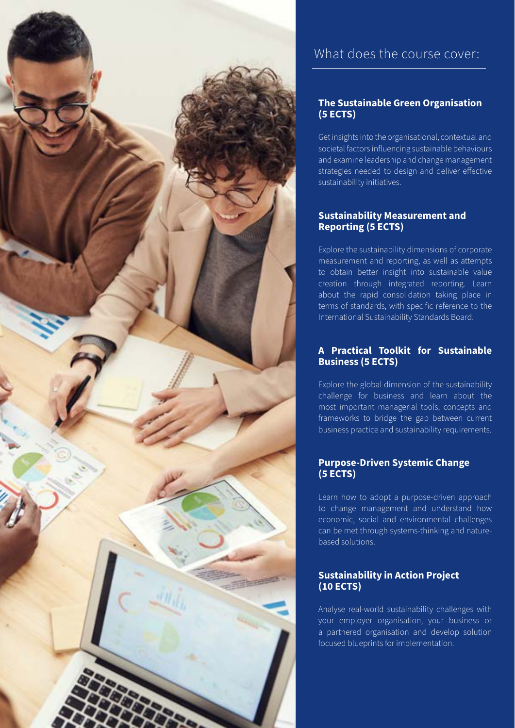

### What does the course cover:

### **The Sustainable Green Organisation (5 ECTS)**

Get insights into the organisational, contextual and societal factors influencing sustainable behaviours and examine leadership and change management strategies needed to design and deliver effective sustainability initiatives.

### **Sustainability Measurement and Reporting (5 ECTS)**

Explore the sustainability dimensions of corporate measurement and reporting, as well as attempts to obtain better insight into sustainable value creation through integrated reporting. Learn about the rapid consolidation taking place in terms of standards, with specific reference to the International Sustainability Standards Board.

### **A Practical Toolkit for Sustainable Business (5 ECTS)**

Explore the global dimension of the sustainability challenge for business and learn about the most important managerial tools, concepts and frameworks to bridge the gap between current business practice and sustainability requirements.

### **Purpose-Driven Systemic Change (5 ECTS)**

Learn how to adopt a purpose-driven approach to change management and understand how economic, social and environmental challenges can be met through systems-thinking and naturebased solutions.

### **Sustainability in Action Project (10 ECTS)**

Analyse real-world sustainability challenges with your employer organisation, your business or a partnered organisation and develop solution focused blueprints for implementation.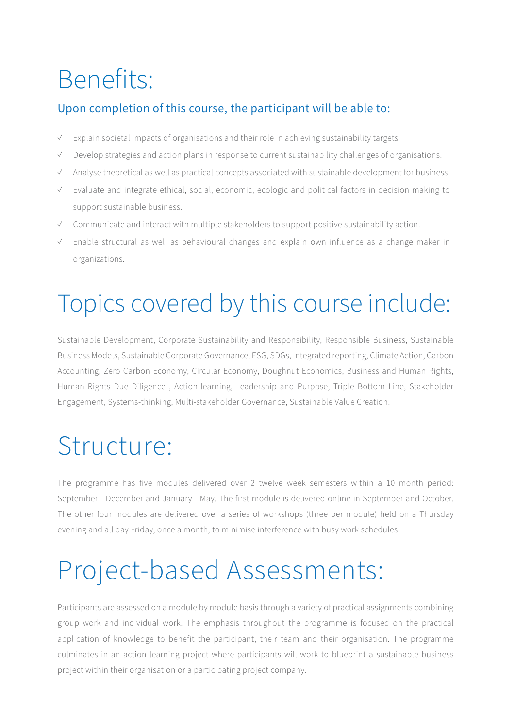## Benefits:

### Upon completion of this course, the participant will be able to:

- ✓ Explain societal impacts of organisations and their role in achieving sustainability targets.
- ✓ Develop strategies and action plans in response to current sustainability challenges of organisations.
- ✓ Analyse theoretical as well as practical concepts associated with sustainable development for business.
- ✓ Evaluate and integrate ethical, social, economic, ecologic and political factors in decision making to support sustainable business.
- ✓ Communicate and interact with multiple stakeholders to support positive sustainability action.
- ✓ Enable structural as well as behavioural changes and explain own influence as a change maker in organizations.

# Topics covered by this course include:

Sustainable Development, Corporate Sustainability and Responsibility, Responsible Business, Sustainable Business Models, Sustainable Corporate Governance, ESG, SDGs, Integrated reporting, Climate Action, Carbon Accounting, Zero Carbon Economy, Circular Economy, Doughnut Economics, Business and Human Rights, Human Rights Due Diligence , Action-learning, Leadership and Purpose, Triple Bottom Line, Stakeholder Engagement, Systems-thinking, Multi-stakeholder Governance, Sustainable Value Creation.

### Structure:

The programme has five modules delivered over 2 twelve week semesters within a 10 month period: September - December and January - May. The first module is delivered online in September and October. The other four modules are delivered over a series of workshops (three per module) held on a Thursday evening and all day Friday, once a month, to minimise interference with busy work schedules.

# Project-based Assessments:

Participants are assessed on a module by module basis through a variety of practical assignments combining group work and individual work. The emphasis throughout the programme is focused on the practical application of knowledge to benefit the participant, their team and their organisation. The programme culminates in an action learning project where participants will work to blueprint a sustainable business project within their organisation or a participating project company.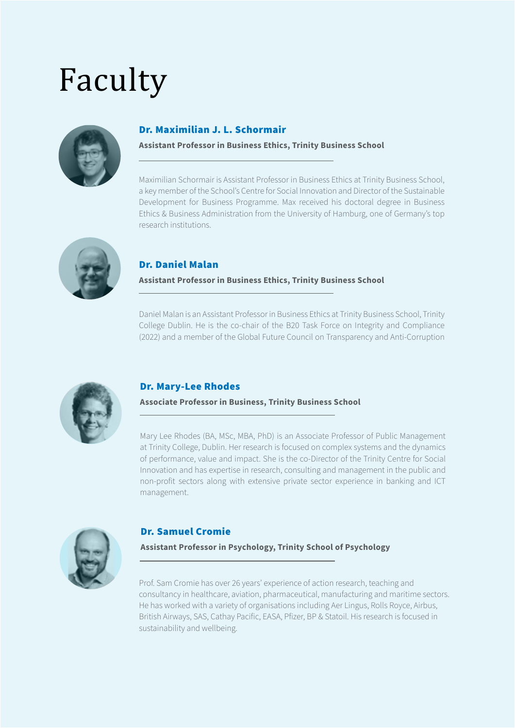# Faculty



### Dr. Maximilian J. L. Schormair

#### **Assistant Professor in Business Ethics, Trinity Business School**

Maximilian Schormair is Assistant Professor in Business Ethics at Trinity Business School, a key member of the School's Centre for Social Innovation and Director of the Sustainable Development for Business Programme. Max received his doctoral degree in Business Ethics & Business Administration from the University of Hamburg, one of Germany's top research institutions.



### Dr. Daniel Malan

#### **Assistant Professor in Business Ethics, Trinity Business School**

Daniel Malan is an Assistant Professor in Business Ethics at Trinity Business School, Trinity College Dublin. He is the co-chair of the B20 Task Force on Integrity and Compliance (2022) and a member of the Global Future Council on Transparency and Anti-Corruption



### Dr. Mary-Lee Rhodes

#### **Associate Professor in Business, Trinity Business School**

Mary Lee Rhodes (BA, MSc, MBA, PhD) is an Associate Professor of Public Management at Trinity College, Dublin. Her research is focused on complex systems and the dynamics of performance, value and impact. She is the co-Director of the Trinity Centre for Social Innovation and has expertise in research, consulting and management in the public and non-profit sectors along with extensive private sector experience in banking and ICT management.



### Dr. Samuel Cromie

#### **Assistant Professor in Psychology, Trinity School of Psychology**

Prof. Sam Cromie has over 26 years' experience of action research, teaching and consultancy in healthcare, aviation, pharmaceutical, manufacturing and maritime sectors. He has worked with a variety of organisations including Aer Lingus, Rolls Royce, Airbus, British Airways, SAS, Cathay Pacific, EASA, Pfizer, BP & Statoil. His research is focused in sustainability and wellbeing.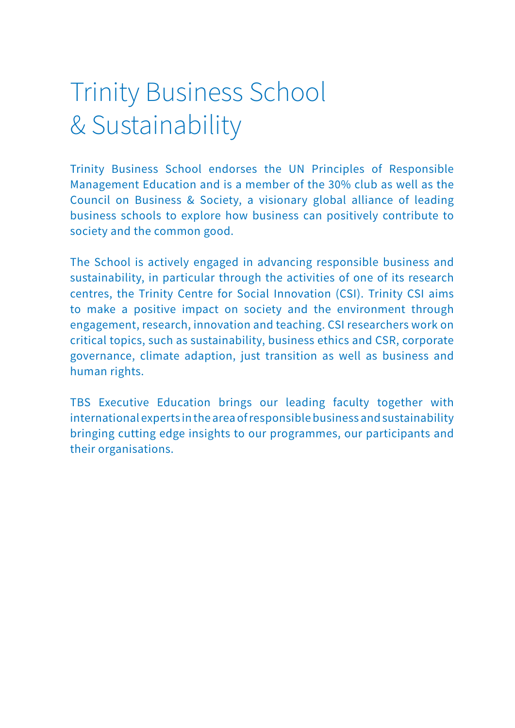# Trinity Business School & Sustainability

Trinity Business School endorses the UN Principles of Responsible Management Education and is a member of the 30% club as well as the Council on Business & Society, a visionary global alliance of leading business schools to explore how business can positively contribute to society and the common good.

The School is actively engaged in advancing responsible business and sustainability, in particular through the activities of one of its research centres, the Trinity Centre for Social Innovation (CSI). Trinity CSI aims to make a positive impact on society and the environment through engagement, research, innovation and teaching. CSI researchers work on critical topics, such as sustainability, business ethics and CSR, corporate governance, climate adaption, just transition as well as business and human rights.

TBS Executive Education brings our leading faculty together with international experts in the area of responsible business and sustainability bringing cutting edge insights to our programmes, our participants and their organisations.